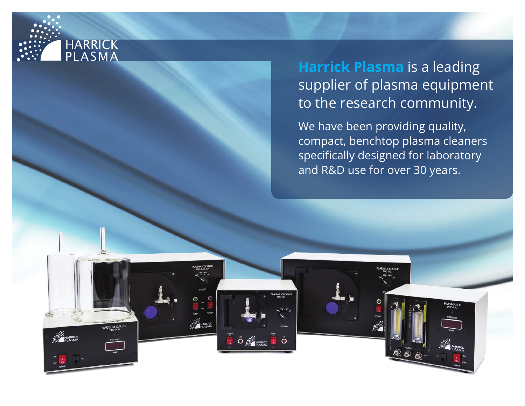

**ACUUM GAUGE** 

 $\ddot{\circ}$   $\ddot{\mathcal{L}}$  reserves

# **Harrick Plasma** is a leading supplier of plasma equipment to the research community.

We have been providing quality, compact, benchtop plasma cleaners specifically designed for laboratory and R&D use for over 30 years.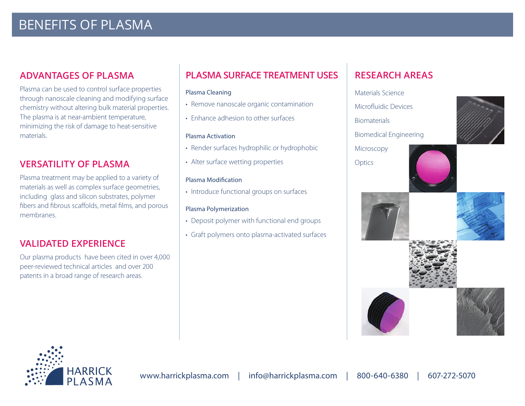# BENEFITS OF PLASMA

# **ADVANTAGES OF PLASMA**

Plasma can be used to control surface properties through nanoscale cleaning and modifying surface chemistry without altering bulk material properties. The plasma is at near-ambient temperature, minimizing the risk of damage to heat-sensitive materials.

# **VERSATILITY OF PLASMA**

Plasma treatment may be applied to a variety of materials as well as complex surface geometries, including glass and silicon substrates, polymer fibers and fibrous scaffolds, metal films, and porous membranes.

# **VALIDATED EXPERIENCE**

Our plasma products have been cited in over 4,000 peer-reviewed technical articles and over 200 patents in a broad range of research areas.

# **PLASMA SURFACE TREATMENT USES**

#### Plasma Cleaning

- Remove nanoscale organic contamination
- Enhance adhesion to other surfaces

#### Plasma Activation

- Render surfaces hydrophilic or hydrophobic
- Alter surface wetting properties

#### Plasma Modification

• Introduce functional groups on surfaces

#### Plasma Polymerization

- Deposit polymer with functional end groups
- Graft polymers onto plasma-activated surfaces

# **RESEARCH AREAS**



- Microfluidic Devices
- **Biomaterials**

**Optics** 

Biomedical Engineering

Microscopy











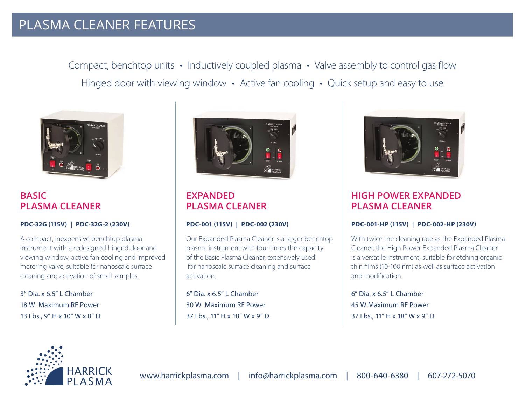# PLASMA CLEANER FEATURES

Compact, benchtop units • Inductively coupled plasma • Valve assembly to control gas flow Hinged door with viewing window • Active fan cooling • Quick setup and easy to use



**BASIC PLASMA CLEANER**

#### **PDC-32G (115V) | PDC-32G-2 (230V)**

A compact, inexpensive benchtop plasma instrument with a redesigned hinged door and viewing window, active fan cooling and improved metering valve, suitable for nanoscale surface cleaning and activation of small samples.

3" Dia. x 6.5" L Chamber 18 W Maximum RF Power 13 Lbs., 9" H x 10" W x 8" D



**EXPANDED PLASMA CLEANER**

#### **PDC-001 (115V) | PDC-002 (230V)**

Our Expanded Plasma Cleaner is a larger benchtop plasma instrument with four times the capacity of the Basic Plasma Cleaner, extensively used for nanoscale surface cleaning and surface activation.

6" Dia. x 6.5" L Chamber 30 W Maximum RF Power 37 Lbs., 11" H x 18" W x 9" D



# **HIGH POWER EXPANDED PLASMA CLEANER**

#### **PDC-001-HP (115V) | PDC-002-HP (230V)**

With twice the cleaning rate as the Expanded Plasma Cleaner, the High Power Expanded Plasma Cleaner is a versatile instrument, suitable for etching organic thin films (10-100 nm) as well as surface activation and modification.

6" Dia. x 6.5" L Chamber 45 W Maximum RF Power 37 Lbs., 11" H x 18" W x 9" D